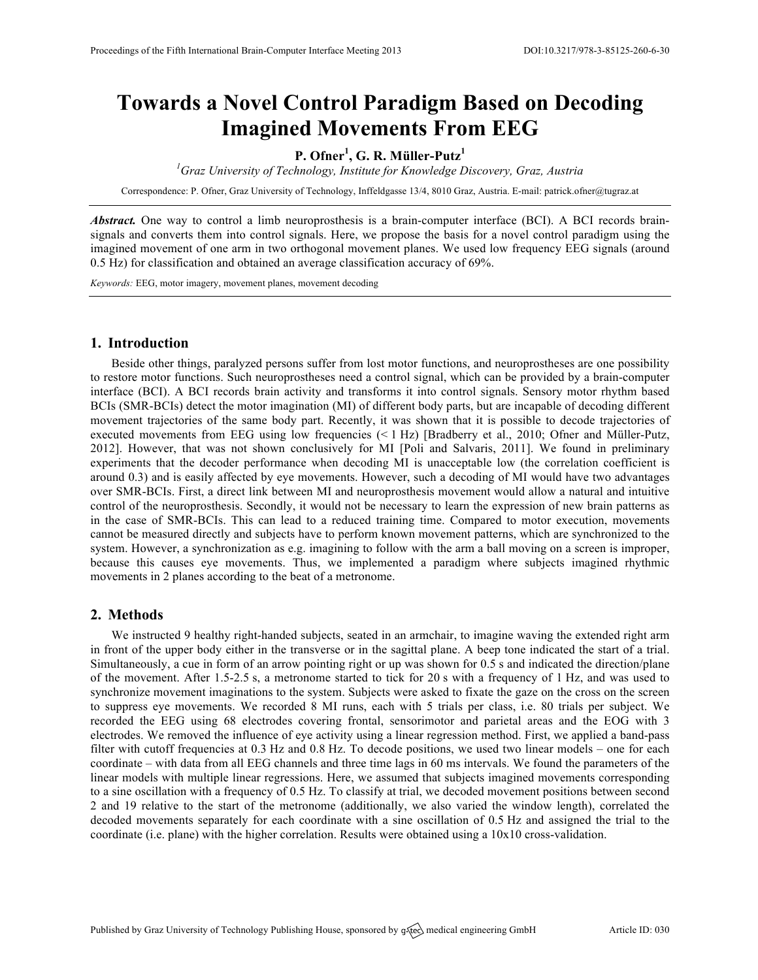# **Towards a Novel Control Paradigm Based on Decoding Imagined Movements From EEG**

## **P. Ofner<sup>1</sup> , G. R. Müller-Putz<sup>1</sup>**

*1 Graz University of Technology, Institute for Knowledge Discovery, Graz, Austria*

Correspondence: P. Ofner, Graz University of Technology, Inffeldgasse 13/4, 8010 Graz, Austria. E-mail: patrick.ofner@tugraz.at

*Abstract.* One way to control a limb neuroprosthesis is a brain-computer interface (BCI). A BCI records brainsignals and converts them into control signals. Here, we propose the basis for a novel control paradigm using the imagined movement of one arm in two orthogonal movement planes. We used low frequency EEG signals (around 0.5 Hz) for classification and obtained an average classification accuracy of 69%.

*Keywords:* EEG, motor imagery, movement planes, movement decoding

#### **1. Introduction**

Beside other things, paralyzed persons suffer from lost motor functions, and neuroprostheses are one possibility to restore motor functions. Such neuroprostheses need a control signal, which can be provided by a brain-computer interface (BCI). A BCI records brain activity and transforms it into control signals. Sensory motor rhythm based BCIs (SMR-BCIs) detect the motor imagination (MI) of different body parts, but are incapable of decoding different movement trajectories of the same body part. Recently, it was shown that it is possible to decode trajectories of executed movements from EEG using low frequencies (< 1 Hz) [Bradberry et al., 2010; Ofner and Müller-Putz, 2012]. However, that was not shown conclusively for MI [Poli and Salvaris, 2011]. We found in preliminary experiments that the decoder performance when decoding MI is unacceptable low (the correlation coefficient is around 0.3) and is easily affected by eye movements. However, such a decoding of MI would have two advantages over SMR-BCIs. First, a direct link between MI and neuroprosthesis movement would allow a natural and intuitive control of the neuroprosthesis. Secondly, it would not be necessary to learn the expression of new brain patterns as in the case of SMR-BCIs. This can lead to a reduced training time. Compared to motor execution, movements cannot be measured directly and subjects have to perform known movement patterns, which are synchronized to the system. However, a synchronization as e.g. imagining to follow with the arm a ball moving on a screen is improper, because this causes eye movements. Thus, we implemented a paradigm where subjects imagined rhythmic movements in 2 planes according to the beat of a metronome.

#### **2. Methods**

We instructed 9 healthy right-handed subjects, seated in an armchair, to imagine waving the extended right arm in front of the upper body either in the transverse or in the sagittal plane. A beep tone indicated the start of a trial. Simultaneously, a cue in form of an arrow pointing right or up was shown for 0.5 s and indicated the direction/plane of the movement. After 1.5-2.5 s, a metronome started to tick for 20 s with a frequency of 1 Hz, and was used to synchronize movement imaginations to the system. Subjects were asked to fixate the gaze on the cross on the screen to suppress eye movements. We recorded 8 MI runs, each with 5 trials per class, i.e. 80 trials per subject. We recorded the EEG using 68 electrodes covering frontal, sensorimotor and parietal areas and the EOG with 3 electrodes. We removed the influence of eye activity using a linear regression method. First, we applied a band-pass filter with cutoff frequencies at 0.3 Hz and 0.8 Hz. To decode positions, we used two linear models – one for each coordinate – with data from all EEG channels and three time lags in 60 ms intervals. We found the parameters of the linear models with multiple linear regressions. Here, we assumed that subjects imagined movements corresponding to a sine oscillation with a frequency of 0.5 Hz. To classify at trial, we decoded movement positions between second 2 and 19 relative to the start of the metronome (additionally, we also varied the window length), correlated the decoded movements separately for each coordinate with a sine oscillation of 0.5 Hz and assigned the trial to the coordinate (i.e. plane) with the higher correlation. Results were obtained using a 10x10 cross-validation.